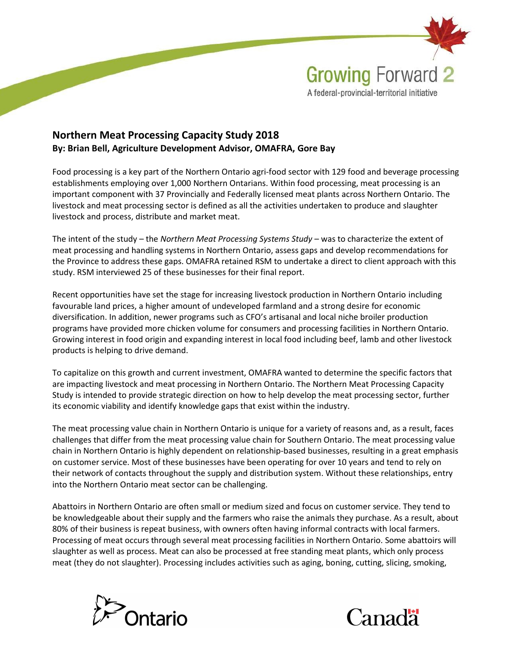

## Northern Meat Processing Capacity Study 2018 By: Brian Bell, Agriculture Development Advisor, OMAFRA, Gore Bay

Food processing is a key part of the Northern Ontario agri-food sector with 129 food and beverage processing establishments employing over 1,000 Northern Ontarians. Within food processing, meat processing is an important component with 37 Provincially and Federally licensed meat plants across Northern Ontario. The livestock and meat processing sector is defined as all the activities undertaken to produce and slaughter livestock and process, distribute and market meat.

The intent of the study – the Northern Meat Processing Systems Study – was to characterize the extent of meat processing and handling systems in Northern Ontario, assess gaps and develop recommendations for the Province to address these gaps. OMAFRA retained RSM to undertake a direct to client approach with this study. RSM interviewed 25 of these businesses for their final report.

Recent opportunities have set the stage for increasing livestock production in Northern Ontario including favourable land prices, a higher amount of undeveloped farmland and a strong desire for economic diversification. In addition, newer programs such as CFO's artisanal and local niche broiler production programs have provided more chicken volume for consumers and processing facilities in Northern Ontario. Growing interest in food origin and expanding interest in local food including beef, lamb and other livestock products is helping to drive demand.

To capitalize on this growth and current investment, OMAFRA wanted to determine the specific factors that are impacting livestock and meat processing in Northern Ontario. The Northern Meat Processing Capacity Study is intended to provide strategic direction on how to help develop the meat processing sector, further its economic viability and identify knowledge gaps that exist within the industry.

The meat processing value chain in Northern Ontario is unique for a variety of reasons and, as a result, faces challenges that differ from the meat processing value chain for Southern Ontario. The meat processing value chain in Northern Ontario is highly dependent on relationship-based businesses, resulting in a great emphasis on customer service. Most of these businesses have been operating for over 10 years and tend to rely on their network of contacts throughout the supply and distribution system. Without these relationships, entry into the Northern Ontario meat sector can be challenging.

Abattoirs in Northern Ontario are often small or medium sized and focus on customer service. They tend to be knowledgeable about their supply and the farmers who raise the animals they purchase. As a result, about 80% of their business is repeat business, with owners often having informal contracts with local farmers. Processing of meat occurs through several meat processing facilities in Northern Ontario. Some abattoirs will slaughter as well as process. Meat can also be processed at free standing meat plants, which only process meat (they do not slaughter). Processing includes activities such as aging, boning, cutting, slicing, smoking,